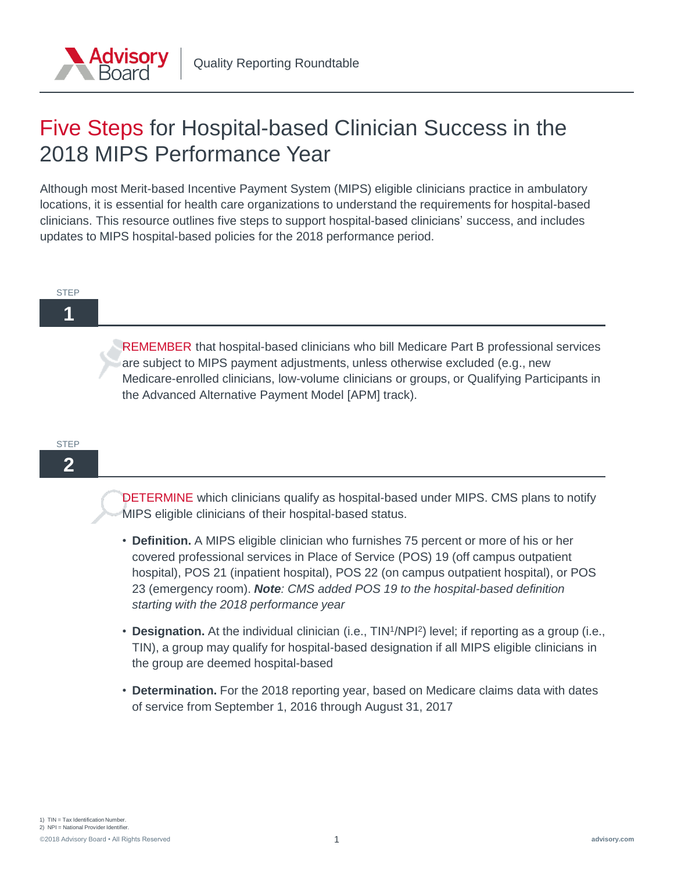

# Five Steps for Hospital-based Clinician Success in the 2018 MIPS Performance Year

Although most Merit-based Incentive Payment System (MIPS) eligible clinicians practice in ambulatory locations, it is essential for health care organizations to understand the requirements for hospital-based clinicians. This resource outlines five steps to support hospital-based clinicians' success, and includes updates to MIPS hospital-based policies for the 2018 performance period.

#### **STEP**

## **1**

REMEMBER that hospital-based clinicians who bill Medicare Part B professional services are subject to MIPS payment adjustments, unless otherwise excluded (e.g., new Medicare-enrolled clinicians, low-volume clinicians or groups, or Qualifying Participants in the Advanced Alternative Payment Model [APM] track).

### **STEP**

## **2**

DETERMINE which clinicians qualify as hospital-based under MIPS. CMS plans to notify MIPS eligible clinicians of their hospital-based status.

- **Definition.** A MIPS eligible clinician who furnishes 75 percent or more of his or her covered professional services in Place of Service (POS) 19 (off campus outpatient hospital), POS 21 (inpatient hospital), POS 22 (on campus outpatient hospital), or POS 23 (emergency room). *Note: CMS added POS 19 to the hospital-based definition starting with the 2018 performance year*
- **Designation.** At the individual clinician (i.e., TIN<sup>1</sup>/NPI<sup>2</sup>) level; if reporting as a group (i.e., TIN), a group may qualify for hospital-based designation if all MIPS eligible clinicians in the group are deemed hospital-based
- **Determination.** For the 2018 reporting year, based on Medicare claims data with dates of service from September 1, 2016 through August 31, 2017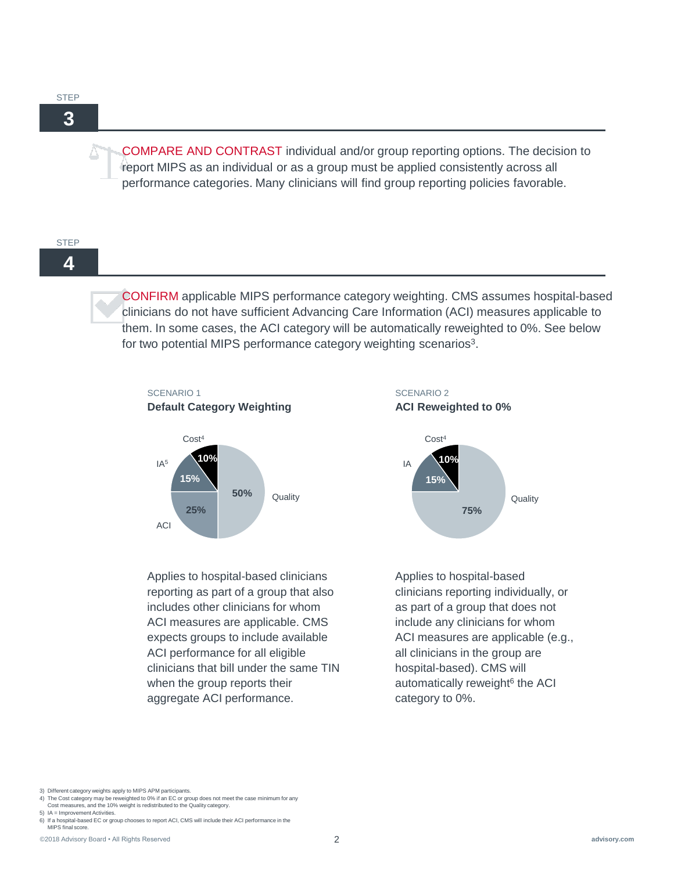**STEP** 

**3**

COMPARE AND CONTRAST individual and/or group reporting options. The decision to report MIPS as an individual or as a group must be applied consistently across all performance categories. Many clinicians will find group reporting policies favorable.

#### STEP

**4**

CONFIRM applicable MIPS performance category weighting. CMS assumes hospital-based clinicians do not have sufficient Advancing Care Information (ACI) measures applicable to them. In some cases, the ACI category will be automatically reweighted to 0%. See below for two potential MIPS performance category weighting scenarios<sup>3</sup>.



Applies to hospital-based clinicians reporting as part of a group that also includes other clinicians for whom ACI measures are applicable. CMS expects groups to include available ACI performance for all eligible clinicians that bill under the same TIN when the group reports their aggregate ACI performance.





Applies to hospital-based clinicians reporting individually, or as part of a group that does not include any clinicians for whom ACI measures are applicable (e.g., all clinicians in the group are hospital-based). CMS will automatically reweight<sup>6</sup> the ACI category to 0%.

- 5) IA = Improvement Activities.
- 6) If a hospital-based EC or group chooses to report ACI, CMS will include their ACI performance in the MIPS final score.

<sup>3)</sup> Different category weights apply to MIPS APM participants.

<sup>4)</sup> The Cost category may be reweighted to 0% if an EC or group does not meet the case minimum for any

Cost measures, and the 10% weight is redistributed to the Quality category.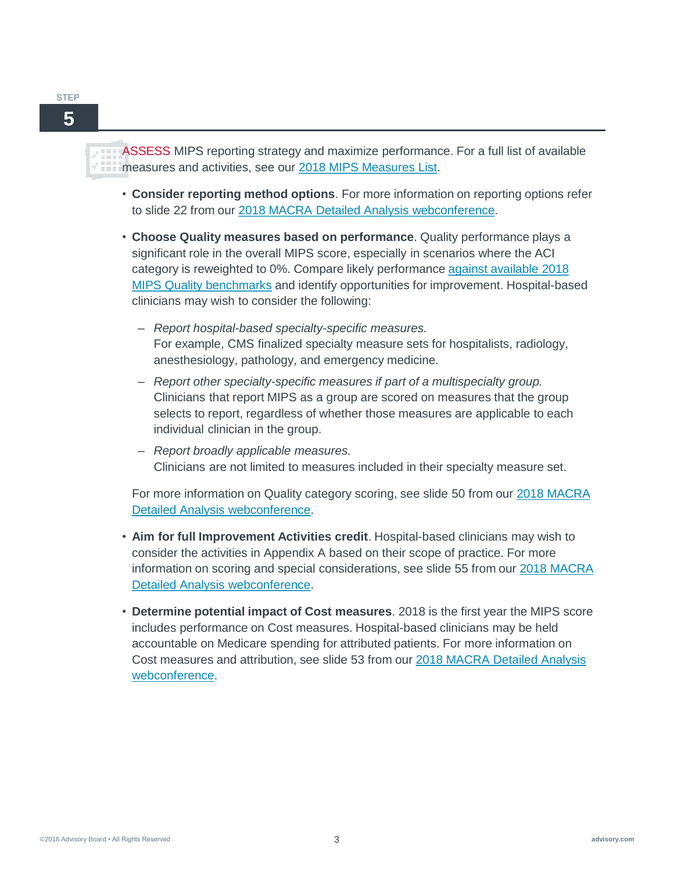### **STEP**



ASSESS MIPS reporting strategy and maximize performance. For a full list of available measures and activities, see our [2018 MIPS Measures List](https://www.advisory.com/research/Health-Care-IT-Advisor/Tools/2017/2018-Merit-Based-Incentive-Payment-System-Measures).

- **Consider reporting method options**. For more information on reporting options refer to slide 22 from our [2018 MACRA Detailed Analysis webconference.](https://www.advisory.com/research/quality-reporting-roundtable/events/webconferences/2018-macra-final-rule-detailed-analysis/ondemand)
- **Choose Quality measures based on performance**. Quality performance plays a significant role in the overall MIPS score, especially in scenarios where the ACI [category is reweighted to 0%. Compare likely performance against available 2018](https://www.cms.gov/Medicare/Quality-Payment-Program/Resource-Library/2018-Quality-Benchmarks.zip) MIPS Quality benchmarks and identify opportunities for improvement. Hospital-based clinicians may wish to consider the following:
	- *Report hospital-based specialty-specific measures.*  For example, CMS finalized specialty measure sets for hospitalists, radiology, anesthesiology, pathology, and emergency medicine.
	- *Report other specialty-specific measures if part of a multispecialty group.*  Clinicians that report MIPS as a group are scored on measures that the group selects to report, regardless of whether those measures are applicable to each individual clinician in the group.
	- *Report broadly applicable measures.*  Clinicians are not limited to measures included in their specialty measure set.

For more information on Quality category scoring, see slide 50 from our 2018 MACRA Detailed Analysis webconference.

- **Aim for full Improvement Activities credit**. Hospital-based clinicians may wish to consider the activities in Appendix A based on their scope of practice. For more [information on scoring and special considerations, see slide 55 from our 2018 MACRA](https://www.advisory.com/research/quality-reporting-roundtable/events/webconferences/2018-macra-final-rule-detailed-analysis/ondemand)  Detailed Analysis webconference.
- **Determine potential impact of Cost measures**. 2018 is the first year the MIPS score includes performance on Cost measures. Hospital-based clinicians may be held accountable on Medicare spending for attributed patients. For more information on [Cost measures and attribution, see slide 53 from our 2018 MACRA Detailed Analysis](https://www.advisory.com/research/quality-reporting-roundtable/events/webconferences/2018-macra-final-rule-detailed-analysis/ondemand)  webconference.

©2018 Advisory Board • All Rights Reserved 3 **advisory.com**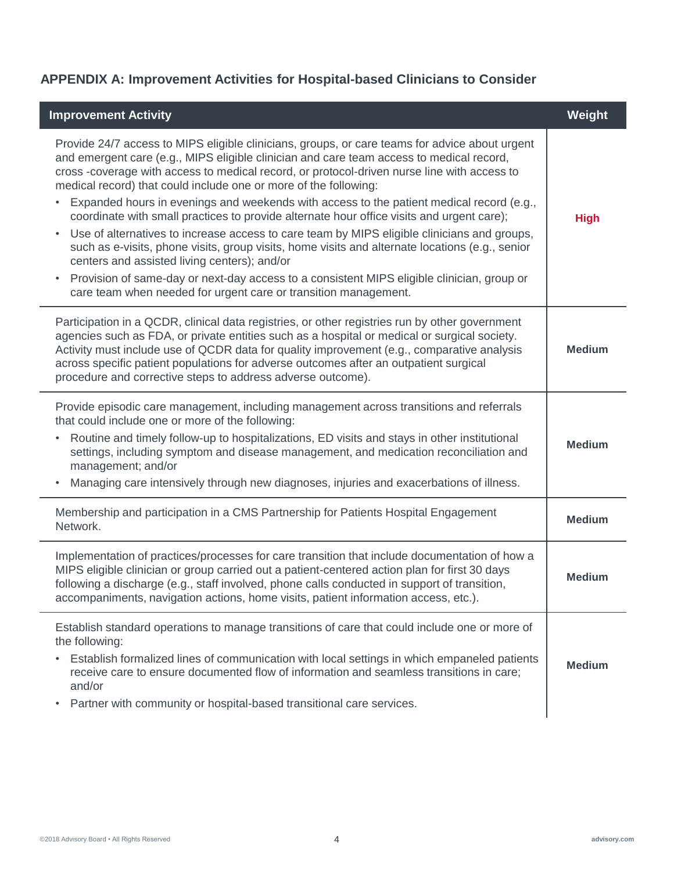## **APPENDIX A: Improvement Activities for Hospital-based Clinicians to Consider**

| <b>Improvement Activity</b>                                                                                                                                                                                                                                                                                                                                                                                                                                                                                                                                                                                                                                                                                                                                                                                                                                                                                                                                                                              | Weight        |
|----------------------------------------------------------------------------------------------------------------------------------------------------------------------------------------------------------------------------------------------------------------------------------------------------------------------------------------------------------------------------------------------------------------------------------------------------------------------------------------------------------------------------------------------------------------------------------------------------------------------------------------------------------------------------------------------------------------------------------------------------------------------------------------------------------------------------------------------------------------------------------------------------------------------------------------------------------------------------------------------------------|---------------|
| Provide 24/7 access to MIPS eligible clinicians, groups, or care teams for advice about urgent<br>and emergent care (e.g., MIPS eligible clinician and care team access to medical record,<br>cross -coverage with access to medical record, or protocol-driven nurse line with access to<br>medical record) that could include one or more of the following:<br>Expanded hours in evenings and weekends with access to the patient medical record (e.g.,<br>٠<br>coordinate with small practices to provide alternate hour office visits and urgent care);<br>Use of alternatives to increase access to care team by MIPS eligible clinicians and groups,<br>$\bullet$<br>such as e-visits, phone visits, group visits, home visits and alternate locations (e.g., senior<br>centers and assisted living centers); and/or<br>Provision of same-day or next-day access to a consistent MIPS eligible clinician, group or<br>$\bullet$<br>care team when needed for urgent care or transition management. | <b>High</b>   |
| Participation in a QCDR, clinical data registries, or other registries run by other government<br>agencies such as FDA, or private entities such as a hospital or medical or surgical society.<br>Activity must include use of QCDR data for quality improvement (e.g., comparative analysis<br>across specific patient populations for adverse outcomes after an outpatient surgical<br>procedure and corrective steps to address adverse outcome).                                                                                                                                                                                                                                                                                                                                                                                                                                                                                                                                                     | <b>Medium</b> |
| Provide episodic care management, including management across transitions and referrals<br>that could include one or more of the following:<br>Routine and timely follow-up to hospitalizations, ED visits and stays in other institutional<br>٠<br>settings, including symptom and disease management, and medication reconciliation and<br>management; and/or<br>Managing care intensively through new diagnoses, injuries and exacerbations of illness.<br>$\bullet$                                                                                                                                                                                                                                                                                                                                                                                                                                                                                                                                  | <b>Medium</b> |
| Membership and participation in a CMS Partnership for Patients Hospital Engagement<br>Network.                                                                                                                                                                                                                                                                                                                                                                                                                                                                                                                                                                                                                                                                                                                                                                                                                                                                                                           | <b>Medium</b> |
| Implementation of practices/processes for care transition that include documentation of how a<br>MIPS eligible clinician or group carried out a patient-centered action plan for first 30 days<br>following a discharge (e.g., staff involved, phone calls conducted in support of transition,<br>accompaniments, navigation actions, home visits, patient information access, etc.).                                                                                                                                                                                                                                                                                                                                                                                                                                                                                                                                                                                                                    | <b>Medium</b> |
| Establish standard operations to manage transitions of care that could include one or more of<br>the following:<br>Establish formalized lines of communication with local settings in which empaneled patients<br>٠<br>receive care to ensure documented flow of information and seamless transitions in care;<br>and/or<br>Partner with community or hospital-based transitional care services.                                                                                                                                                                                                                                                                                                                                                                                                                                                                                                                                                                                                         | <b>Medium</b> |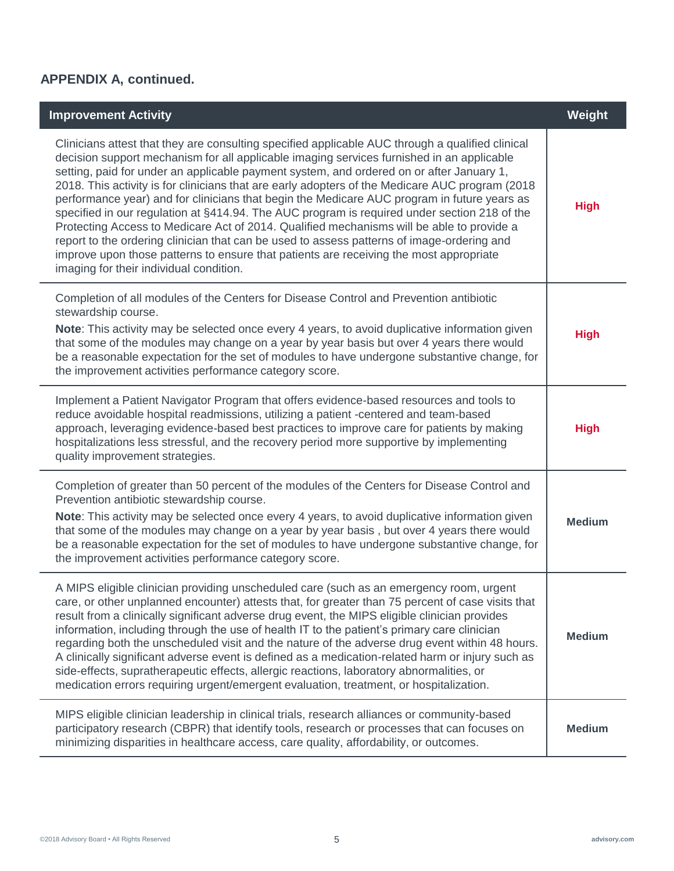## **APPENDIX A, continued.**

| <b>Improvement Activity</b>                                                                                                                                                                                                                                                                                                                                                                                                                                                                                                                                                                                                                                                                                                                                                                                                                                                                                                 | Weight        |
|-----------------------------------------------------------------------------------------------------------------------------------------------------------------------------------------------------------------------------------------------------------------------------------------------------------------------------------------------------------------------------------------------------------------------------------------------------------------------------------------------------------------------------------------------------------------------------------------------------------------------------------------------------------------------------------------------------------------------------------------------------------------------------------------------------------------------------------------------------------------------------------------------------------------------------|---------------|
| Clinicians attest that they are consulting specified applicable AUC through a qualified clinical<br>decision support mechanism for all applicable imaging services furnished in an applicable<br>setting, paid for under an applicable payment system, and ordered on or after January 1,<br>2018. This activity is for clinicians that are early adopters of the Medicare AUC program (2018<br>performance year) and for clinicians that begin the Medicare AUC program in future years as<br>specified in our regulation at §414.94. The AUC program is required under section 218 of the<br>Protecting Access to Medicare Act of 2014. Qualified mechanisms will be able to provide a<br>report to the ordering clinician that can be used to assess patterns of image-ordering and<br>improve upon those patterns to ensure that patients are receiving the most appropriate<br>imaging for their individual condition. | <b>High</b>   |
| Completion of all modules of the Centers for Disease Control and Prevention antibiotic<br>stewardship course.<br>Note: This activity may be selected once every 4 years, to avoid duplicative information given<br>that some of the modules may change on a year by year basis but over 4 years there would<br>be a reasonable expectation for the set of modules to have undergone substantive change, for<br>the improvement activities performance category score.                                                                                                                                                                                                                                                                                                                                                                                                                                                       | <b>High</b>   |
| Implement a Patient Navigator Program that offers evidence-based resources and tools to<br>reduce avoidable hospital readmissions, utilizing a patient -centered and team-based<br>approach, leveraging evidence-based best practices to improve care for patients by making<br>hospitalizations less stressful, and the recovery period more supportive by implementing<br>quality improvement strategies.                                                                                                                                                                                                                                                                                                                                                                                                                                                                                                                 | <b>High</b>   |
| Completion of greater than 50 percent of the modules of the Centers for Disease Control and<br>Prevention antibiotic stewardship course.<br>Note: This activity may be selected once every 4 years, to avoid duplicative information given<br>that some of the modules may change on a year by year basis, but over 4 years there would<br>be a reasonable expectation for the set of modules to have undergone substantive change, for<br>the improvement activities performance category score.                                                                                                                                                                                                                                                                                                                                                                                                                           | <b>Medium</b> |
| A MIPS eligible clinician providing unscheduled care (such as an emergency room, urgent<br>care, or other unplanned encounter) attests that, for greater than 75 percent of case visits that<br>result from a clinically significant adverse drug event, the MIPS eligible clinician provides<br>information, including through the use of health IT to the patient's primary care clinician<br>regarding both the unscheduled visit and the nature of the adverse drug event within 48 hours.<br>A clinically significant adverse event is defined as a medication-related harm or injury such as<br>side-effects, supratherapeutic effects, allergic reactions, laboratory abnormalities, or<br>medication errors requiring urgent/emergent evaluation, treatment, or hospitalization.                                                                                                                                    | <b>Medium</b> |
| MIPS eligible clinician leadership in clinical trials, research alliances or community-based<br>participatory research (CBPR) that identify tools, research or processes that can focuses on<br>minimizing disparities in healthcare access, care quality, affordability, or outcomes.                                                                                                                                                                                                                                                                                                                                                                                                                                                                                                                                                                                                                                      | <b>Medium</b> |